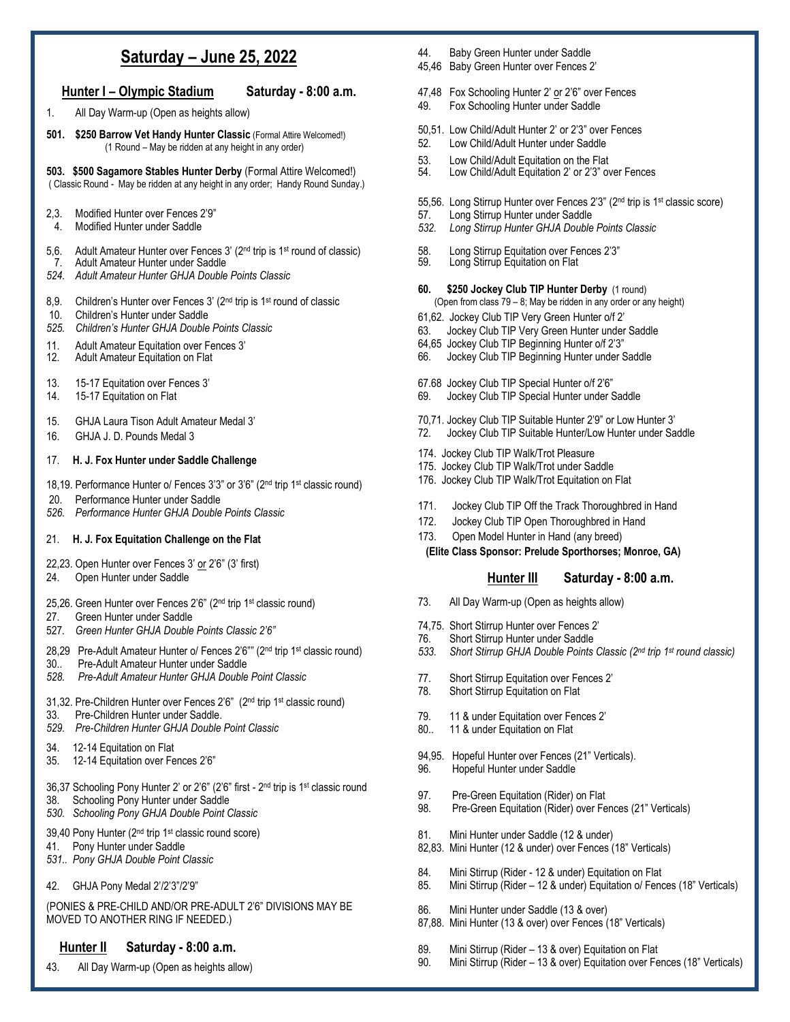## **Saturday – June 25, 2022**

### **Hunter I – Olympic Stadium Saturday - 8:00 a.m.**

- 1. All Day Warm-up (Open as heights allow)
- **501. \$250 Barrow Vet Handy Hunter Classic** (Formal Attire Welcomed!) (1 Round – May be ridden at any height in any order)

**503. \$500 Sagamore Stables Hunter Derby** (Formal Attire Welcomed!) ( Classic Round - May be ridden at any height in any order; Handy Round Sunday.)

- 2,3. Modified Hunter over Fences 2'9"
- 4. Modified Hunter under Saddle
- 5,6. Adult Amateur Hunter over Fences 3' (2nd trip is 1st round of classic)
- 7. Adult Amateur Hunter under Saddle
- *524. Adult Amateur Hunter GHJA Double Points Classic*
- 8,9. Children's Hunter over Fences 3' (2<sup>nd</sup> trip is 1<sup>st</sup> round of classic
- 10. Children's Hunter under Saddle
- *525. Children's Hunter GHJA Double Points Classic*
- 11. Adult Amateur Equitation over Fences 3'<br>12. Adult Amateur Equitation on Flat
- Adult Amateur Equitation on Flat
- 13. 15-17 Equitation over Fences 3'
- 14. 15-17 Equitation on Flat
- 15. GHJA Laura Tison Adult Amateur Medal 3'
- 16. GHJA J. D. Pounds Medal 3

#### 17. **H. J. Fox Hunter under Saddle Challenge**

- 18,19. Performance Hunter o/ Fences 3'3" or 3'6" (2nd trip 1st classic round)
- 20. Performance Hunter under Saddle
- *526. Performance Hunter GHJA Double Points Classic*

#### 21. **H. J. Fox Equitation Challenge on the Flat**

- 22,23. Open Hunter over Fences 3' or 2'6" (3' first)
- 24. Open Hunter under Saddle
- 25,26. Green Hunter over Fences 2'6" (2<sup>nd</sup> trip 1<sup>st</sup> classic round)
- 27. Green Hunter under Saddle
- 527*. Green Hunter GHJA Double Points Classic 2'6"*
- 28,29 Pre-Adult Amateur Hunter o/ Fences 2'6"" (2<sup>nd</sup> trip 1<sup>st</sup> classic round)
- 30.. Pre-Adult Amateur Hunter under Saddle
- *528. Pre-Adult Amateur Hunter GHJA Double Point Classic*
- 31,32. Pre-Children Hunter over Fences 2'6" (2nd trip 1st classic round) 33. Pre-Children Hunter under Saddle.
- *529. Pre-Children Hunter GHJA Double Point Classic*
- 34. 12-14 Equitation on Flat
- 35. 12-14 Equitation over Fences 2'6"
- 36,37 Schooling Pony Hunter 2' or 2'6" (2'6" first 2<sup>nd</sup> trip is 1<sup>st</sup> classic round 38. Schooling Pony Hunter under Saddle *530. Schooling Pony GHJA Double Point Classic*
- 39,40 Pony Hunter (2nd trip 1st classic round score)
- 41. Pony Hunter under Saddle
- *531.. Pony GHJA Double Point Classic*
- 42. GHJA Pony Medal 2'/2'3"/2'9"

(PONIES & PRE-CHILD AND/OR PRE-ADULT 2'6" DIVISIONS MAY BE MOVED TO ANOTHER RING IF NEEDED.)

#### **Hunter II Saturday - 8:00 a.m.**

43. All Day Warm-up (Open as heights allow)

- 44. Baby Green Hunter under Saddle
- 45,46 Baby Green Hunter over Fences 2'
- 47,48 Fox Schooling Hunter 2' or 2'6" over Fences 49. Fox Schooling Hunter under Saddle
- 50,51. Low Child/Adult Hunter 2' or 2'3" over Fences 52. Low Child/Adult Hunter under Saddle
- 53. Low Child/Adult Equitation on the Flat<br>54. Low Child/Adult Fquitation 2' or 2'3" ov
- Low Child/Adult Equitation 2' or 2'3" over Fences
- 55,56. Long Stirrup Hunter over Fences 2'3" (2<sup>nd</sup> trip is 1<sup>st</sup> classic score)
- 57. Long Stirrup Hunter under Saddle
- *532. Long Stirrup Hunter GHJA Double Points Classic*
- 58. Long Stirrup Equitation over Fences 2'3"
- Long Stirrup Equitation on Flat

#### **60. \$250 Jockey Club TIP Hunter Derby** (1 round)

- (Open from class 79 8; May be ridden in any order or any height)
- 61,62. Jockey Club TIP Very Green Hunter o/f 2'
- 63. Jockey Club TIP Very Green Hunter under Saddle
- 64,65 Jockey Club TIP Beginning Hunter o/f 2'3"
- 66. Jockey Club TIP Beginning Hunter under Saddle
- 67.68 Jockey Club TIP Special Hunter o/f 2'6"
- 69. Jockey Club TIP Special Hunter under Saddle
- 70,71. Jockey Club TIP Suitable Hunter 2'9" or Low Hunter 3'
- 72. Jockey Club TIP Suitable Hunter/Low Hunter under Saddle
- 174. Jockey Club TIP Walk/Trot Pleasure
- 175. Jockey Club TIP Walk/Trot under Saddle
- 176. Jockey Club TIP Walk/Trot Equitation on Flat
- 171. Jockey Club TIP Off the Track Thoroughbred in Hand
- 172. Jockey Club TIP Open Thoroughbred in Hand
- 173. Open Model Hunter in Hand (any breed)

 **(Elite Class Sponsor: Prelude Sporthorses; Monroe, GA)**

#### **Hunter III Saturday - 8:00 a.m.**

- 73. All Day Warm-up (Open as heights allow)
- 74,75. Short Stirrup Hunter over Fences 2'
- 76. Short Stirrup Hunter under Saddle
- *533. Short Stirrup GHJA Double Points Classic (2nd trip 1st round classic)*
- 77. Short Stirrup Equitation over Fences 2'
- 78. Short Stirrup Equitation on Flat
- 79. 11 & under Equitation over Fences 2'
- 80.. 11 & under Equitation on Flat
- 94,95. Hopeful Hunter over Fences (21" Verticals).
- 96. Hopeful Hunter under Saddle
- 97. Pre-Green Equitation (Rider) on Flat<br>98. Pre-Green Equitation (Rider) over Fe
- Pre-Green Equitation (Rider) over Fences (21" Verticals)
- 81. Mini Hunter under Saddle (12 & under) 82,83. Mini Hunter (12 & under) over Fences (18" Verticals)
- 84. Mini Stirrup (Rider 12 & under) Equitation on Flat
- 85. Mini Stirrup (Rider 12 & under) Equitation o/ Fences (18" Verticals)
- 86. Mini Hunter under Saddle (13 & over)
- 87,88. Mini Hunter (13 & over) over Fences (18" Verticals)
- 89. Mini Stirrup (Rider 13 & over) Equitation on Flat<br>90. Mini Stirrup (Rider 13 & over) Equitation over Fe
- Mini Stirrup (Rider 13 & over) Equitation over Fences (18" Verticals)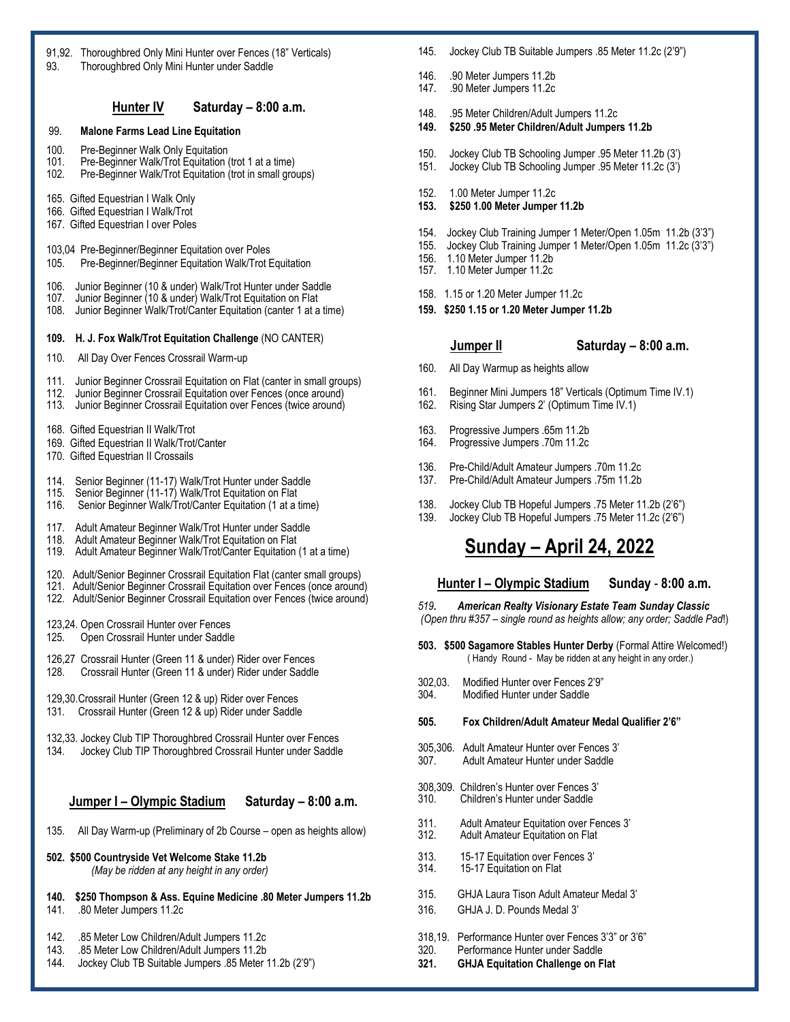| 91,92. Thoroughbred Only Mini Hunter over Fences (18" Verticals)<br>Thoroughbred Only Mini Hunter under Saddle<br>93.                                                                                                                 |  |  |  |  |  |
|---------------------------------------------------------------------------------------------------------------------------------------------------------------------------------------------------------------------------------------|--|--|--|--|--|
| Hunter IV<br>Saturday – 8:00 a.m.                                                                                                                                                                                                     |  |  |  |  |  |
| 99.<br><b>Malone Farms Lead Line Equitation</b>                                                                                                                                                                                       |  |  |  |  |  |
| 100.<br>Pre-Beginner Walk Only Equitation<br>101.<br>Pre-Beginner Walk/Trot Equitation (trot 1 at a time)<br>102.<br>Pre-Beginner Walk/Trot Equitation (trot in small groups)                                                         |  |  |  |  |  |
| 165. Gifted Equestrian I Walk Only<br>166. Gifted Equestrian I Walk/Trot<br>167. Gifted Equestrian I over Poles                                                                                                                       |  |  |  |  |  |
| 103,04 Pre-Beginner/Beginner Equitation over Poles<br>105.<br>Pre-Beginner/Beginner Equitation Walk/Trot Equitation                                                                                                                   |  |  |  |  |  |
| 106.<br>Junior Beginner (10 & under) Walk/Trot Hunter under Saddle<br>107.<br>Junior Beginner (10 & under) Walk/Trot Equitation on Flat<br>108.<br>Junior Beginner Walk/Trot/Canter Equitation (canter 1 at a time)                   |  |  |  |  |  |
| H. J. Fox Walk/Trot Equitation Challenge (NO CANTER)<br>109.                                                                                                                                                                          |  |  |  |  |  |
| 110.<br>All Day Over Fences Crossrail Warm-up                                                                                                                                                                                         |  |  |  |  |  |
| 111.<br>Junior Beginner Crossrail Equitation on Flat (canter in small groups)<br>112.<br>Junior Beginner Crossrail Equitation over Fences (once around)<br>113.<br>Junior Beginner Crossrail Equitation over Fences (twice around)    |  |  |  |  |  |
| 168. Gifted Equestrian II Walk/Trot<br>169. Gifted Equestrian II Walk/Trot/Canter<br>170. Gifted Equestrian II Crossails                                                                                                              |  |  |  |  |  |
| 114.<br>Senior Beginner (11-17) Walk/Trot Hunter under Saddle<br>115.<br>Senior Beginner (11-17) Walk/Trot Equitation on Flat<br>116.<br>Senior Beginner Walk/Trot/Canter Equitation (1 at a time)                                    |  |  |  |  |  |
| 117.<br>Adult Amateur Beginner Walk/Trot Hunter under Saddle<br>118.<br>Adult Amateur Beginner Walk/Trot Equitation on Flat<br>119.<br>Adult Amateur Beginner Walk/Trot/Canter Equitation (1 at a time)                               |  |  |  |  |  |
| 120. Adult/Senior Beginner Crossrail Equitation Flat (canter small groups)<br>121. Adult/Senior Beginner Crossrail Equitation over Fences (once around)<br>122. Adult/Senior Beginner Crossrail Equitation over Fences (twice around) |  |  |  |  |  |
| 123,24. Open Crossrail Hunter over Fences<br>Open Crossrail Hunter under Saddle<br>125.                                                                                                                                               |  |  |  |  |  |
| 126,27 Crossrail Hunter (Green 11 & under) Rider over Fences<br>Crossrail Hunter (Green 11 & under) Rider under Saddle<br>128.                                                                                                        |  |  |  |  |  |
| 129,30. Crossrail Hunter (Green 12 & up) Rider over Fences<br>Crossrail Hunter (Green 12 & up) Rider under Saddle<br>131.                                                                                                             |  |  |  |  |  |
| 132,33. Jockey Club TIP Thoroughbred Crossrail Hunter over Fences<br>Jockey Club TIP Thoroughbred Crossrail Hunter under Saddle<br>134.                                                                                               |  |  |  |  |  |
| Jumper I - Olympic Stadium<br>Saturday - 8:00 a.m.                                                                                                                                                                                    |  |  |  |  |  |
| All Day Warm-up (Preliminary of 2b Course - open as heights allow)<br>135.                                                                                                                                                            |  |  |  |  |  |
| 502. \$500 Countryside Vet Welcome Stake 11.2b<br>(May be ridden at any height in any order)                                                                                                                                          |  |  |  |  |  |
| 140.<br>\$250 Thompson & Ass. Equine Medicine .80 Meter Jumpers 11.2b<br>141.<br>.80 Meter Jumpers 11.2c                                                                                                                              |  |  |  |  |  |
| 142.<br>.85 Meter Low Children/Adult Jumpers 11.2c<br>143.<br>.85 Meter Low Children/Adult Jumpers 11.2b<br>144.<br>Jockey Club TB Suitable Jumpers .85 Meter 11.2b (2'9")                                                            |  |  |  |  |  |

| 145. |  | Jockey Club TB Suitable Jumpers .85 Meter 11.2c (2'9") |  |
|------|--|--------------------------------------------------------|--|
|      |  |                                                        |  |

- 146. .90 Meter Jumpers 11.2b<br>147. .90 Meter Jumpers 11.2c
- 147. .90 Meter Jumpers 11.2c
- 148. .95 Meter Children/Adult Jumpers 11.2c
- **149. \$250 .95 Meter Children/Adult Jumpers 11.2b**
- 150. Jockey Club TB Schooling Jumper .95 Meter 11.2b (3')
- 151. Jockey Club TB Schooling Jumper .95 Meter 11.2c (3')
- 152. 1.00 Meter Jumper 11.2c
- **153. \$250 1.00 Meter Jumper 11.2b**
- 154. Jockey Club Training Jumper 1 Meter/Open 1.05m 11.2b (3'3")
- 155. Jockey Club Training Jumper 1 Meter/Open 1.05m 11.2c (3'3")
- 156. 1.10 Meter Jumper 11.2b 157. 1.10 Meter Jumper 11.2c
- 158. 1.15 or 1.20 Meter Jumper 11.2c
- **159. \$250 1.15 or 1.20 Meter Jumper 11.2b**
	-
	- **Jumper II Saturday – 8:00 a.m.**
- 160. All Day Warmup as heights allow
- 161. Beginner Mini Jumpers 18" Verticals (Optimum Time IV.1)
- 162. Rising Star Jumpers 2' (Optimum Time IV.1)
- 163. Progressive Jumpers .65m 11.2b
- Progressive Jumpers .70m 11.2c
- 136. Pre-Child/Adult Amateur Jumpers .70m 11.2c
- 137. Pre-Child/Adult Amateur Jumpers .75m 11.2b
- 138. Jockey Club TB Hopeful Jumpers .75 Meter 11.2b (2'6")
- 139. Jockey Club TB Hopeful Jumpers .75 Meter 11.2c (2'6")

# **Sunday – April 24, 2022**

#### **Hunter I – Olympic Stadium Sunday** - **8:00 a.m.**

*519. American Realty Visionary Estate Team Sunday Classic (Open thru #357 – single round as heights allow; any order; Saddle Pad*!)

**503. \$500 Sagamore Stables Hunter Derby** (Formal Attire Welcomed!) ( Handy Round - May be ridden at any height in any order.)

- 302,03. Modified Hunter over Fences 2'9"
- **Modified Hunter under Saddle**
- **505. Fox Children/Adult Amateur Medal Qualifier 2'6"**
- 305,306. Adult Amateur Hunter over Fences 3' Adult Amateur Hunter under Saddle
- 308,309. Children's Hunter over Fences 3' 310. Children's Hunter under Saddle
- 311. Adult Amateur Equitation over Fences 3'
- Adult Amateur Equitation on Flat
- 313. 15-17 Equitation over Fences 3'<br>314. 15-17 Equitation on Flat 15-17 Equitation on Flat
- 315. GHJA Laura Tison Adult Amateur Medal 3'
- 316. GHJA J. D. Pounds Medal 3'
- 318,19. Performance Hunter over Fences 3'3" or 3'6"
- 320. Performance Hunter under Saddle
- **321. GHJA Equitation Challenge on Flat**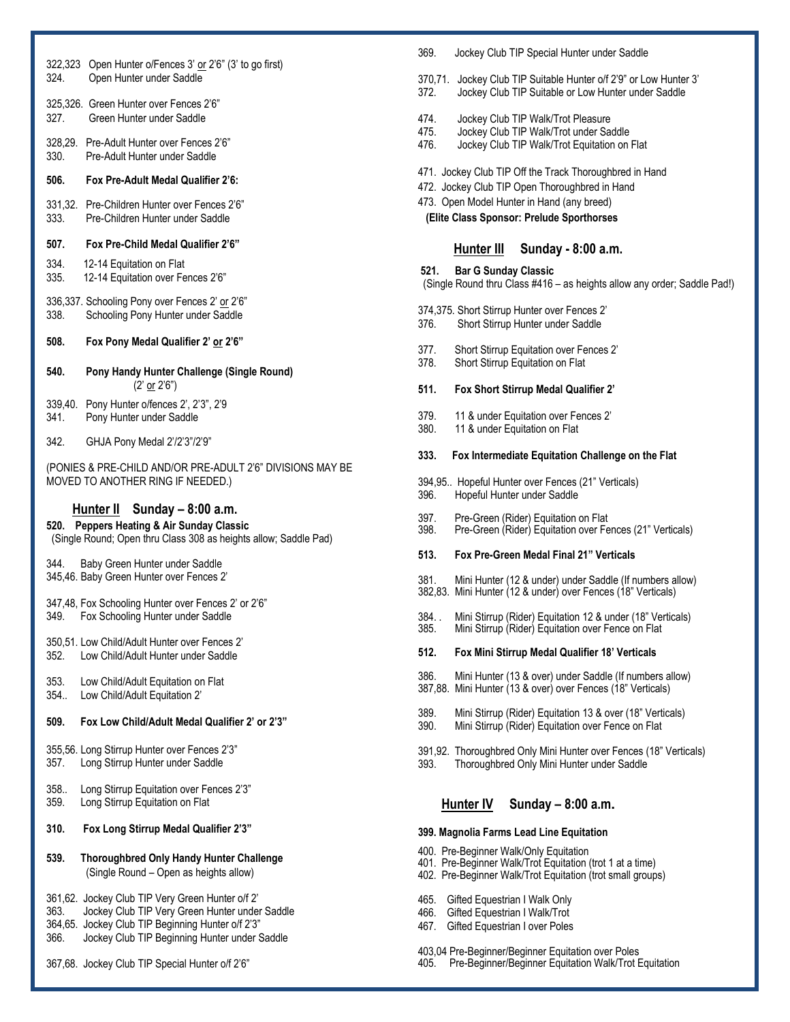| 324.            | 322,323 Open Hunter o/Fences 3' or 2'6" (3' to go first)<br>Open Hunter under Saddle                                                                                                                     |
|-----------------|----------------------------------------------------------------------------------------------------------------------------------------------------------------------------------------------------------|
| 327.            | 325,326. Green Hunter over Fences 2'6"<br>Green Hunter under Saddle                                                                                                                                      |
| 330.            | 328,29. Pre-Adult Hunter over Fences 2'6"<br>Pre-Adult Hunter under Saddle                                                                                                                               |
| 506.            | <b>Fox Pre-Adult Medal Qualifier 2'6:</b>                                                                                                                                                                |
| 333.            | 331,32. Pre-Children Hunter over Fences 2'6"<br>Pre-Children Hunter under Saddle                                                                                                                         |
| 507.            | Fox Pre-Child Medal Qualifier 2'6"                                                                                                                                                                       |
| 334.<br>335.    | 12-14 Equitation on Flat<br>12-14 Equitation over Fences 2'6"                                                                                                                                            |
| 338.            | 336,337. Schooling Pony over Fences 2' or 2'6"<br>Schooling Pony Hunter under Saddle                                                                                                                     |
| 508.            | Fox Pony Medal Qualifier 2' or 2'6"                                                                                                                                                                      |
| 540.            | Pony Handy Hunter Challenge (Single Round)<br>(2' or 2'6")                                                                                                                                               |
| 339,40.<br>341. | Pony Hunter o/fences 2', 2'3", 2'9<br>Pony Hunter under Saddle                                                                                                                                           |
| 342.            | GHJA Pony Medal 2'/2'3"/2'9"                                                                                                                                                                             |
|                 | (PONIES & PRE-CHILD AND/OR PRE-ADULT 2'6" DIVISIONS MAY BE<br>MOVED TO ANOTHER RING IF NEEDED.)                                                                                                          |
| 520.            | Hunter II Sunday - 8:00 a.m.<br><b>Peppers Heating &amp; Air Sunday Classic</b><br>(Single Round; Open thru Class 308 as heights allow; Saddle Pad)                                                      |
| 344.            | Baby Green Hunter under Saddle<br>345,46. Baby Green Hunter over Fences 2'                                                                                                                               |
| 349.            | 347,48, Fox Schooling Hunter over Fences 2' or 2'6"<br>Fox Schooling Hunter under Saddle                                                                                                                 |
| 352.            | 350,51. Low Child/Adult Hunter over Fences 2'<br>Low Child/Adult Hunter under Saddle                                                                                                                     |
| 353.<br>354.    | Low Child/Adult Equitation on Flat<br>Low Child/Adult Equitation 2'                                                                                                                                      |
| 509.            | Fox Low Child/Adult Medal Qualifier 2' or 2'3"                                                                                                                                                           |
| 357.            | 355,56. Long Stirrup Hunter over Fences 2'3"<br>Long Stirrup Hunter under Saddle                                                                                                                         |
| 358.<br>359.    | Long Stirrup Equitation over Fences 2'3"<br>Long Stirrup Equitation on Flat                                                                                                                              |
| 310.            | Fox Long Stirrup Medal Qualifier 2'3"                                                                                                                                                                    |
| 539.            | Thoroughbred Only Handy Hunter Challenge<br>(Single Round - Open as heights allow)                                                                                                                       |
| 363.<br>366.    | 361,62. Jockey Club TIP Very Green Hunter o/f 2'<br>Jockey Club TIP Very Green Hunter under Saddle<br>364,65. Jockey Club TIP Beginning Hunter o/f 2'3"<br>Jockey Club TIP Beginning Hunter under Saddle |
|                 | 367,68. Jockey Club TIP Special Hunter o/f 2'6"                                                                                                                                                          |

| 369. |  |  |  |  |  |  | Jockey Club TIP Special Hunter under Saddle |
|------|--|--|--|--|--|--|---------------------------------------------|
|------|--|--|--|--|--|--|---------------------------------------------|

- 370,71. Jockey Club TIP Suitable Hunter o/f 2'9" or Low Hunter 3'
- 372. Jockey Club TIP Suitable or Low Hunter under Saddle
- 474. Jockey Club TIP Walk/Trot Pleasure
- 475. Jockey Club TIP Walk/Trot under Saddle
- 476. Jockey Club TIP Walk/Trot Equitation on Flat
- 471. Jockey Club TIP Off the Track Thoroughbred in Hand
- 472. Jockey Club TIP Open Thoroughbred in Hand
- 473. Open Model Hunter in Hand (any breed)

 **(Elite Class Sponsor: Prelude Sporthorses**

#### **Hunter III Sunday - 8:00 a.m.**

**521. Bar G Sunday Classic**

(Single Round thru Class #416 – as heights allow any order; Saddle Pad!)

- 374,375. Short Stirrup Hunter over Fences 2'
- 376. Short Stirrup Hunter under Saddle
- 377. Short Stirrup Equitation over Fences 2'
- 378. Short Stirrup Equitation on Flat

#### **511. Fox Short Stirrup Medal Qualifier 2'**

- 379. 11 & under Equitation over Fences 2'
- 380. 11 & under Equitation on Flat

#### **333. Fox Intermediate Equitation Challenge on the Flat**

- 394,95.. Hopeful Hunter over Fences (21" Verticals)
- 396. Hopeful Hunter under Saddle
- 397. Pre-Green (Rider) Equitation on Flat
- 398. Pre-Green (Rider) Equitation over Fences (21" Verticals)

#### **513. Fox Pre-Green Medal Final 21" Verticals**

- 381. Mini Hunter (12 & under) under Saddle (If numbers allow) 382,83. Mini Hunter (12 & under) over Fences (18" Verticals)
- 384. . Mini Stirrup (Rider) Equitation 12 & under (18" Verticals)
- 385. Mini Stirrup (Rider) Equitation over Fence on Flat
- **512. Fox Mini Stirrup Medal Qualifier 18' Verticals**
- 386. Mini Hunter (13 & over) under Saddle (If numbers allow)
- 387,88. Mini Hunter (13 & over) over Fences (18" Verticals)
- 389. Mini Stirrup (Rider) Equitation 13 & over (18" Verticals) 390. Mini Stirrup (Rider) Equitation over Fence on Flat
- 391,92. Thoroughbred Only Mini Hunter over Fences (18" Verticals) 393. Thoroughbred Only Mini Hunter under Saddle
	-

#### **Hunter IV Sunday – 8:00 a.m.**

#### **399. Magnolia Farms Lead Line Equitation**

- 400. Pre-Beginner Walk/Only Equitation
- 401. Pre-Beginner Walk/Trot Equitation (trot 1 at a time)
- 402. Pre-Beginner Walk/Trot Equitation (trot small groups)
- 465. Gifted Equestrian I Walk Only
- 466. Gifted Equestrian I Walk/Trot
- 467. Gifted Equestrian I over Poles

403,04 Pre-Beginner/Beginner Equitation over Poles

405. Pre-Beginner/Beginner Equitation Walk/Trot Equitation